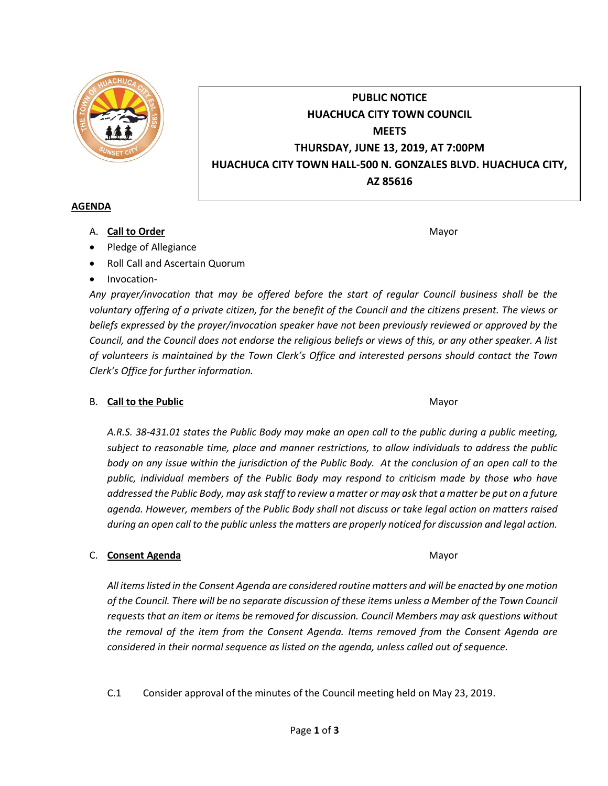

# **PUBLIC NOTICE HUACHUCA CITY TOWN COUNCIL MEETS THURSDAY, JUNE 13, 2019, AT 7:00PM HUACHUCA CITY TOWN HALL-500 N. GONZALES BLVD. HUACHUCA CITY, AZ 85616**

### **AGENDA**

A. **Call to Order** Mayor **Mayor** Mayor **Mayor** Mayor **Mayor** 

- Pledge of Allegiance
- Roll Call and Ascertain Quorum
- Invocation-

*Any prayer/invocation that may be offered before the start of regular Council business shall be the voluntary offering of a private citizen, for the benefit of the Council and the citizens present. The views or beliefs expressed by the prayer/invocation speaker have not been previously reviewed or approved by the Council, and the Council does not endorse the religious beliefs or views of this, or any other speaker. A list of volunteers is maintained by the Town Clerk's Office and interested persons should contact the Town Clerk's Office for further information.*

# B. **Call to the Public** Mayor **Mayor** Mayor **Mayor** Mayor

*A.R.S. 38-431.01 states the Public Body may make an open call to the public during a public meeting, subject to reasonable time, place and manner restrictions, to allow individuals to address the public body on any issue within the jurisdiction of the Public Body. At the conclusion of an open call to the public, individual members of the Public Body may respond to criticism made by those who have addressed the Public Body, may ask staff to review a matter or may ask that a matter be put on a future agenda. However, members of the Public Body shall not discuss or take legal action on matters raised during an open call to the public unless the matters are properly noticed for discussion and legal action.*

# C. **Consent Agenda** Mayor **C. Consent Agenda** Mayor

*All items listed in the Consent Agenda are considered routine matters and will be enacted by one motion of the Council. There will be no separate discussion of these items unless a Member of the Town Council requests that an item or items be removed for discussion. Council Members may ask questions without the removal of the item from the Consent Agenda. Items removed from the Consent Agenda are considered in their normal sequence as listed on the agenda, unless called out of sequence.*

C.1 Consider approval of the minutes of the Council meeting held on May 23, 2019.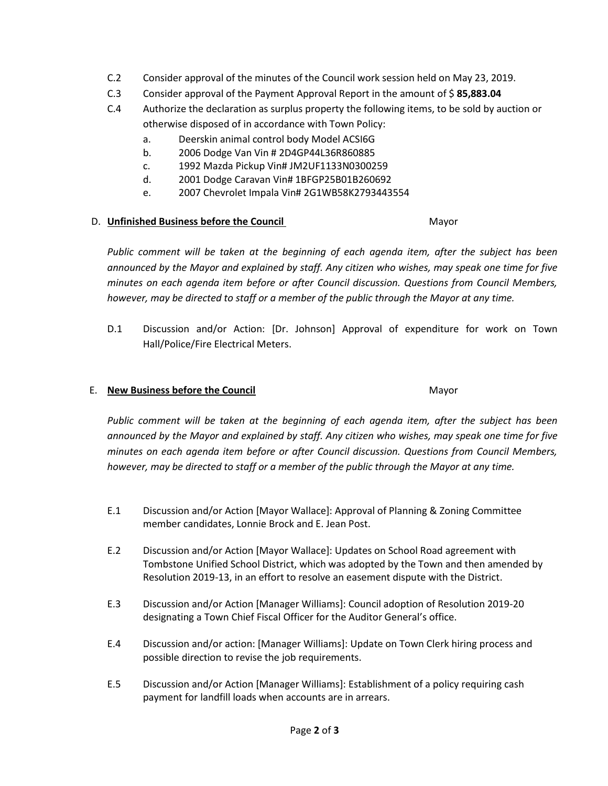- C.2 Consider approval of the minutes of the Council work session held on May 23, 2019.
- C.3 Consider approval of the Payment Approval Report in the amount of \$ **85,883.04**
- C.4 Authorize the declaration as surplus property the following items, to be sold by auction or otherwise disposed of in accordance with Town Policy:
	- a. Deerskin animal control body Model ACSI6G
	- b. 2006 Dodge Van Vin # 2D4GP44L36R860885
	- c. 1992 Mazda Pickup Vin# JM2UF1133N0300259
	- d. 2001 Dodge Caravan Vin# 1BFGP25B01B260692
	- e. 2007 Chevrolet Impala Vin# 2G1WB58K2793443554

#### D. **Unfinished Business before the Council** Mayor

*Public comment will be taken at the beginning of each agenda item, after the subject has been announced by the Mayor and explained by staff. Any citizen who wishes, may speak one time for five minutes on each agenda item before or after Council discussion. Questions from Council Members, however, may be directed to staff or a member of the public through the Mayor at any time.*

D.1 Discussion and/or Action: [Dr. Johnson] Approval of expenditure for work on Town Hall/Police/Fire Electrical Meters.

### E. **New Business before the Council** Mayor

*Public comment will be taken at the beginning of each agenda item, after the subject has been announced by the Mayor and explained by staff. Any citizen who wishes, may speak one time for five minutes on each agenda item before or after Council discussion. Questions from Council Members, however, may be directed to staff or a member of the public through the Mayor at any time.*

- E.1 Discussion and/or Action [Mayor Wallace]: Approval of Planning & Zoning Committee member candidates, Lonnie Brock and E. Jean Post.
- E.2 Discussion and/or Action [Mayor Wallace]: Updates on School Road agreement with Tombstone Unified School District, which was adopted by the Town and then amended by Resolution 2019-13, in an effort to resolve an easement dispute with the District.
- E.3 Discussion and/or Action [Manager Williams]: Council adoption of Resolution 2019-20 designating a Town Chief Fiscal Officer for the Auditor General's office.
- E.4 Discussion and/or action: [Manager Williams]: Update on Town Clerk hiring process and possible direction to revise the job requirements.
- E.5 Discussion and/or Action [Manager Williams]: Establishment of a policy requiring cash payment for landfill loads when accounts are in arrears.